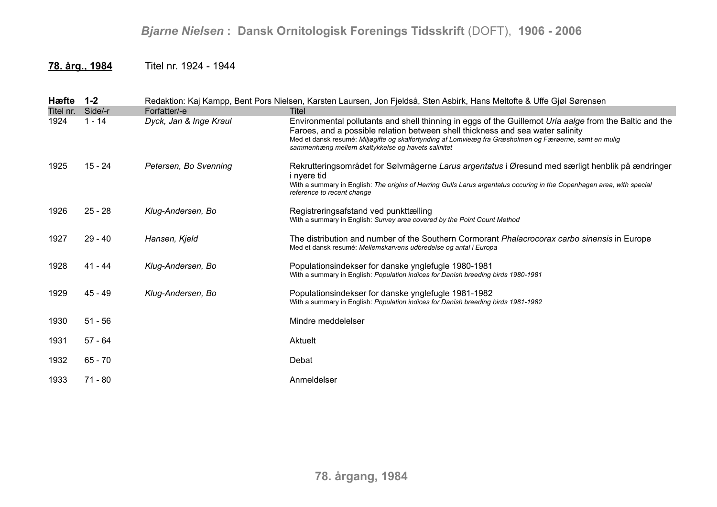## *Bjarne Nielsen* **: Dansk Ornitologisk Forenings Tidsskrift** (DOFT), **1906 - 2006**

## **78. årg., 1984** Titel nr. 1924 - 1944

| Hæfte     | $1 - 2$   |                        | Redaktion: Kaj Kampp, Bent Pors Nielsen, Karsten Laursen, Jon Fjeldså, Sten Asbirk, Hans Meltofte & Uffe Gjøl Sørensen                                                                                                                                                                                                                                     |
|-----------|-----------|------------------------|------------------------------------------------------------------------------------------------------------------------------------------------------------------------------------------------------------------------------------------------------------------------------------------------------------------------------------------------------------|
| Titel nr. | Side/-r   | Forfatter/-e           | Titel                                                                                                                                                                                                                                                                                                                                                      |
| 1924      | $1 - 14$  | Dyck, Jan & Inge Kraul | Environmental pollutants and shell thinning in eggs of the Guillemot Uria aalge from the Baltic and the<br>Faroes, and a possible relation between shell thickness and sea water salinity<br>Med et dansk resumé: Miljøgifte og skalfortynding af Lomvieæg fra Græsholmen og Færøerne, samt en mulig<br>sammenhæng mellem skaltykkelse og havets salinitet |
| 1925      | 15 - 24   | Petersen, Bo Svenning  | Rekrutteringsområdet for Sølvmågerne Larus argentatus i Øresund med særligt henblik på ændringer<br><i>i</i> nvere tid<br>With a summary in English: The origins of Herring Gulls Larus argentatus occuring in the Copenhagen area, with special<br>reference to recent change                                                                             |
| 1926      | $25 - 28$ | Klug-Andersen, Bo      | Registreringsafstand ved punkttælling<br>With a summary in English: Survey area covered by the Point Count Method                                                                                                                                                                                                                                          |
| 1927      | $29 - 40$ | Hansen, Kjeld          | The distribution and number of the Southern Cormorant Phalacrocorax carbo sinensis in Europe<br>Med et dansk resumé: Mellemskarvens udbredelse og antal i Europa                                                                                                                                                                                           |
| 1928      | $41 - 44$ | Klug-Andersen, Bo      | Populationsindekser for danske ynglefugle 1980-1981<br>With a summary in English: Population indices for Danish breeding birds 1980-1981                                                                                                                                                                                                                   |
| 1929      | $45 - 49$ | Klug-Andersen, Bo      | Populationsindekser for danske ynglefugle 1981-1982<br>With a summary in English: Population indices for Danish breeding birds 1981-1982                                                                                                                                                                                                                   |
| 1930      | $51 - 56$ |                        | Mindre meddelelser                                                                                                                                                                                                                                                                                                                                         |
| 1931      | $57 - 64$ |                        | Aktuelt                                                                                                                                                                                                                                                                                                                                                    |
| 1932      | $65 - 70$ |                        | Debat                                                                                                                                                                                                                                                                                                                                                      |
| 1933      | $71 - 80$ |                        | Anmeldelser                                                                                                                                                                                                                                                                                                                                                |